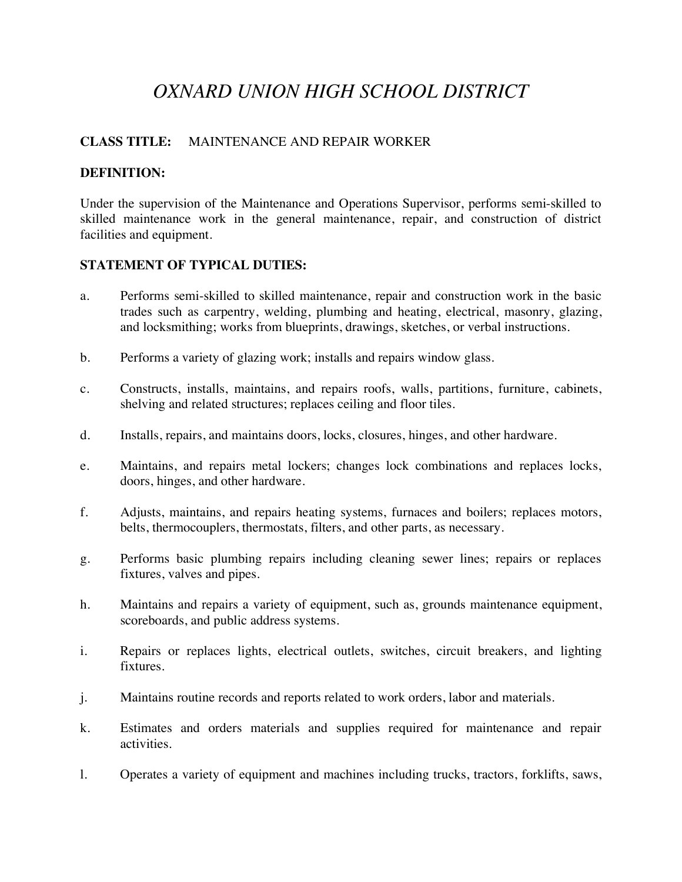# *OXNARD UNION HIGH SCHOOL DISTRICT*

# **CLASS TITLE:** MAINTENANCE AND REPAIR WORKER

## **DEFINITION:**

Under the supervision of the Maintenance and Operations Supervisor, performs semi-skilled to skilled maintenance work in the general maintenance, repair, and construction of district facilities and equipment.

## **STATEMENT OF TYPICAL DUTIES:**

- a. Performs semi-skilled to skilled maintenance, repair and construction work in the basic trades such as carpentry, welding, plumbing and heating, electrical, masonry, glazing, and locksmithing; works from blueprints, drawings, sketches, or verbal instructions.
- b. Performs a variety of glazing work; installs and repairs window glass.
- c. Constructs, installs, maintains, and repairs roofs, walls, partitions, furniture, cabinets, shelving and related structures; replaces ceiling and floor tiles.
- d. Installs, repairs, and maintains doors, locks, closures, hinges, and other hardware.
- e. Maintains, and repairs metal lockers; changes lock combinations and replaces locks, doors, hinges, and other hardware.
- f. Adjusts, maintains, and repairs heating systems, furnaces and boilers; replaces motors, belts, thermocouplers, thermostats, filters, and other parts, as necessary.
- g. Performs basic plumbing repairs including cleaning sewer lines; repairs or replaces fixtures, valves and pipes.
- h. Maintains and repairs a variety of equipment, such as, grounds maintenance equipment, scoreboards, and public address systems.
- i. Repairs or replaces lights, electrical outlets, switches, circuit breakers, and lighting fixtures.
- j. Maintains routine records and reports related to work orders, labor and materials.
- k. Estimates and orders materials and supplies required for maintenance and repair activities.
- l. Operates a variety of equipment and machines including trucks, tractors, forklifts, saws,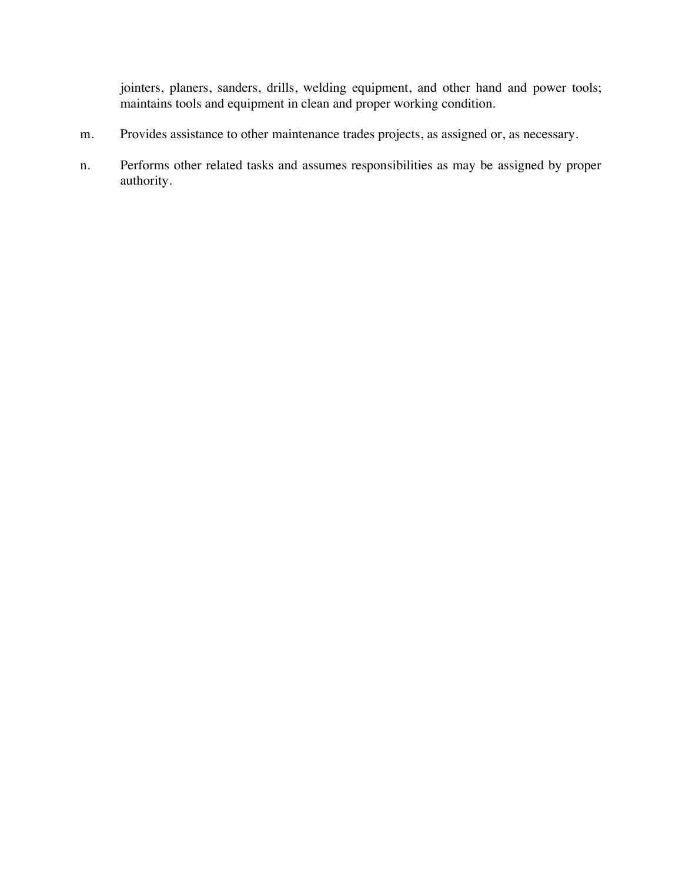jointers, planers, sanders, drills, welding equipment, and other hand and power tools; maintains tools and equipment in clean and proper working condition.

- m. Provides assistance to other maintenance trades projects, as assigned or, as necessary.
- n. Performs other related tasks and assumes responsibilities as may be assigned by proper authority.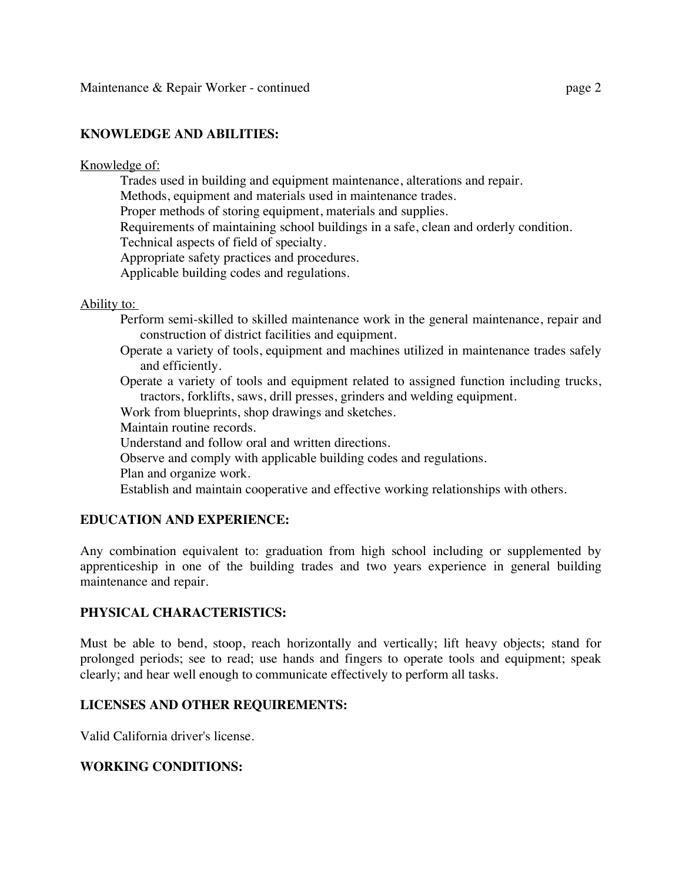## **KNOWLEDGE AND ABILITIES:**

#### Knowledge of:

Trades used in building and equipment maintenance, alterations and repair.

Methods, equipment and materials used in maintenance trades.

Proper methods of storing equipment, materials and supplies.

Requirements of maintaining school buildings in a safe, clean and orderly condition.

Technical aspects of field of specialty.

Appropriate safety practices and procedures.

Applicable building codes and regulations.

#### Ability to:

- Perform semi-skilled to skilled maintenance work in the general maintenance, repair and construction of district facilities and equipment.
- Operate a variety of tools, equipment and machines utilized in maintenance trades safely and efficiently.

 Operate a variety of tools and equipment related to assigned function including trucks, tractors, forklifts, saws, drill presses, grinders and welding equipment.

Work from blueprints, shop drawings and sketches.

Maintain routine records.

Understand and follow oral and written directions.

- Observe and comply with applicable building codes and regulations.
- Plan and organize work.

Establish and maintain cooperative and effective working relationships with others.

# **EDUCATION AND EXPERIENCE:**

Any combination equivalent to: graduation from high school including or supplemented by apprenticeship in one of the building trades and two years experience in general building maintenance and repair.

#### **PHYSICAL CHARACTERISTICS:**

Must be able to bend, stoop, reach horizontally and vertically; lift heavy objects; stand for prolonged periods; see to read; use hands and fingers to operate tools and equipment; speak clearly; and hear well enough to communicate effectively to perform all tasks.

# **LICENSES AND OTHER REQUIREMENTS:**

Valid California driver's license.

#### **WORKING CONDITIONS:**